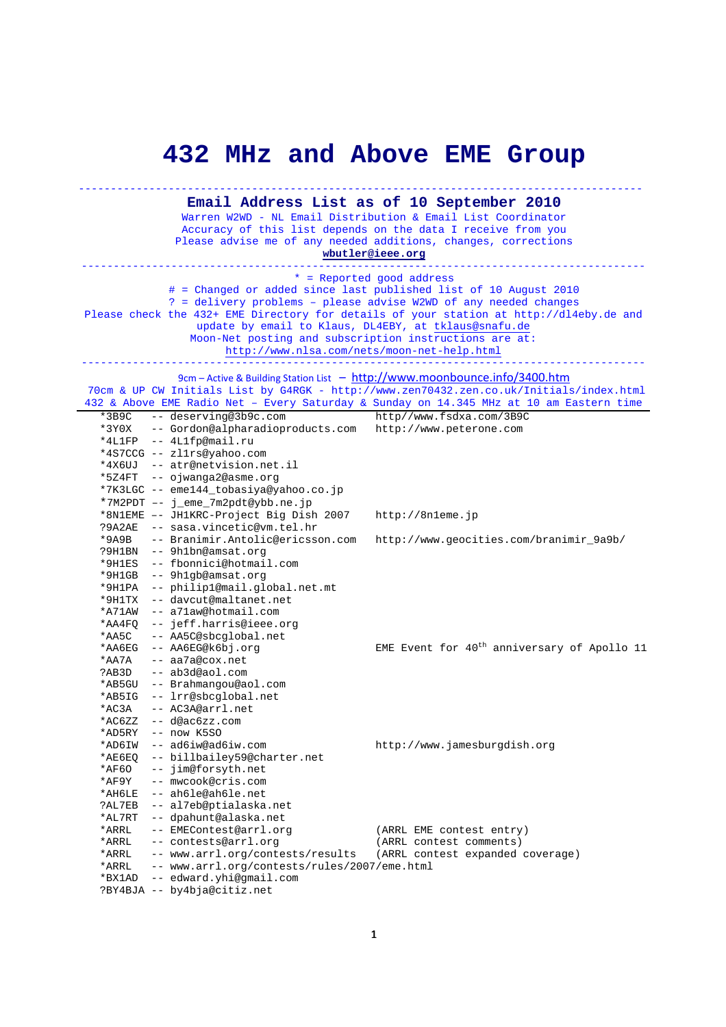## **432 MHz and Above EME Group**

## ---------------------------------------------------------------------------------------- **Email Address List as of 10 September 2010**

Warren W2WD - NL Email Distribution & Email List Coordinator Accuracy of this list depends on the data I receive from you Please advise me of any needed additions, changes, corrections **wbutler@ieee.org**

---------------------------------------------------------------------------------------- \* = Reported good address # = Changed or added since last published list of 10 August 2010 ? = delivery problems – please advise W2WD of any needed changes Please check the 432+ EME Directory for details of your station at http://dl4eby.de and update by email to Klaus, DL4EBY, at tklaus@snafu.de Moon-Net posting and subscription instructions are at: http://www.nlsa.com/nets/moon-net-help.html ----------------------------------------------------------------------------------------

9cm – Active & Building Station List – http://www.moonbounce.info/3400.htm

 70cm & UP CW Initials List by G4RGK - http://www.zen70432.zen.co.uk/Initials/index.html 432 & Above EME Radio Net – Every Saturday & Sunday on 14.345 MHz at 10 am Eastern time

|          | $\sim$ 1200 $\sim$ 1111 $\sim$ 1000 $\sim$ 1000 | Livery bacarday a banday on first rims ac for all subcern cr      |
|----------|-------------------------------------------------|-------------------------------------------------------------------|
| $*3B9C$  | -- deserving@3b9c.com                           | http//www.fsdxa.com/3B9C                                          |
| *3Y0X    | -- Gordon@alpharadioproducts.com                | http://www.peterone.com                                           |
| *4L1FP   | -- 4Llfp@mail.ru                                |                                                                   |
|          | *4S7CCG -- zl1rs@yahoo.com                      |                                                                   |
|          | *4X6UJ -- atr@netvision.net.il                  |                                                                   |
|          | *5Z4FT -- ojwanga2@asme.org                     |                                                                   |
|          | *7K3LGC -- eme144_tobasiya@yahoo.co.jp          |                                                                   |
|          | *7M2PDT -- j_eme_7m2pdt@ybb.ne.jp               |                                                                   |
|          | *8N1EME -- JH1KRC-Project Big Dish 2007         | http://8n1eme.jp                                                  |
| ?9A2AE   | -- sasa.vincetic@vm.tel.hr                      |                                                                   |
| $*9A9B$  | -- Branimir.Antolic@ericsson.com                | http://www.geocities.com/branimir_9a9b/                           |
| ?9H1BN   | -- 9h1bn@amsat.org                              |                                                                   |
| *9H1ES   | -- fbonnici@hotmail.com                         |                                                                   |
| $*9H1GB$ | -- 9h1qb@amsat.org                              |                                                                   |
| *9H1PA   | -- philip1@mail.global.net.mt                   |                                                                   |
| *9H1TX   | -- davcut@maltanet.net                          |                                                                   |
| *A71AW   | -- a71aw@hotmail.com                            |                                                                   |
| *AA4FO   | -- jeff.harris@ieee.org                         |                                                                   |
| *AA5C    | -- AA5C@sbcglobal.net                           |                                                                   |
| *AA6EG   | -- AA6EG@k6bj.org                               | EME Event for 40 <sup>th</sup> anniversary of Apollo 11           |
| *AA7A    | -- aa7a@cox.net                                 |                                                                   |
| ?AB3D    | -- ab3d@aol.com                                 |                                                                   |
| *AB5GU   | -- Brahmangou@aol.com                           |                                                                   |
| *AB5IG   | -- lrr@sbcqlobal.net                            |                                                                   |
| *AC3A    | -- AC3A@arrl.net                                |                                                                   |
| *AC6ZZ   | $--$ d@ac6zz.com                                |                                                                   |
| *AD5RY   | $--$ now K5SO                                   |                                                                   |
| *AD6IW   | -- ad6iw@ad6iw.com                              | http://www.jamesburgdish.org                                      |
| $*AE6EO$ | -- billbailey59@charter.net                     |                                                                   |
| *AF60    | -- jim@forsyth.net                              |                                                                   |
| *AF9Y    | -- mwcook@cris.com                              |                                                                   |
| *AH6LE   | -- ah6le@ah6le.net                              |                                                                   |
| ?AL7EB   | -- al7eb@ptialaska.net                          |                                                                   |
| *AL7RT   | -- dpahunt@alaska.net                           |                                                                   |
| *ARRL    | -- EMEContest@arrl.org                          | (ARRL EME contest entry)                                          |
| *ARRL    | -- contests@arrl.org                            | (ARRL contest comments)                                           |
| *ARRL    |                                                 | -- www.arrl.org/contests/results (ARRL contest expanded coverage) |
| *ARRL    | -- www.arrl.org/contests/rules/2007/eme.html    |                                                                   |
| *BX1AD   | -- edward.yhi@gmail.com                         |                                                                   |
|          | ?BY4BJA -- by4bja@citiz.net                     |                                                                   |
|          |                                                 |                                                                   |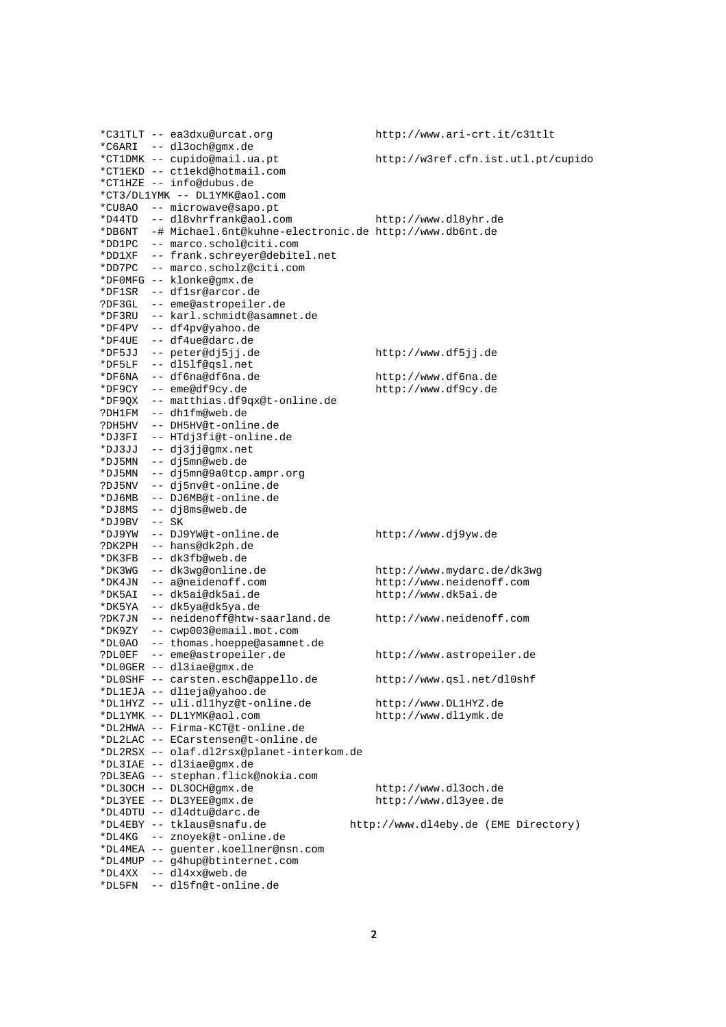|        | *C31TLT -- ea3dxu@urcat.org                                     | http://www.ari-crt.it/c31tlt         |
|--------|-----------------------------------------------------------------|--------------------------------------|
|        | *C6ARI -- dl3och@qmx.de                                         |                                      |
|        | *CT1DMK -- cupido@mail.ua.pt                                    | http://w3ref.cfn.ist.utl.pt/cupido   |
|        | *CT1EKD -- ct1ekd@hotmail.com                                   |                                      |
|        | *CT1HZE -- info@dubus.de                                        |                                      |
|        | *CT3/DL1YMK -- DL1YMK@aol.com                                   |                                      |
|        | *CU8AO -- microwave@sapo.pt                                     |                                      |
|        | *D44TD -- dl8vhrfrank@aol.com                                   | http://www.dl8yhr.de                 |
|        | *DB6NT -# Michael.6nt@kuhne-electronic.de http://www.db6nt.de   |                                      |
|        | *DD1PC -- marco.schol@citi.com                                  |                                      |
|        | *DD1XF -- frank.schreyer@debitel.net                            |                                      |
| *DD7PC | -- marco.scholz@citi.com                                        |                                      |
|        | *DF0MFG -- klonke@qmx.de                                        |                                      |
|        | *DF1SR -- df1sr@arcor.de                                        |                                      |
|        | ?DF3GL -- eme@astropeiler.de                                    |                                      |
|        | *DF3RU -- karl.schmidt@asamnet.de                               |                                      |
|        | *DF4PV -- df4pv@yahoo.de                                        |                                      |
|        | *DF4UE -- df4ue@darc.de                                         |                                      |
| *DF5JJ | -- peter@dj5jj.de                                               | http://www.df5jj.de                  |
|        | *DF5LF -- dl5lf@qsl.net                                         |                                      |
|        | *DF6NA -- df6na@df6na.de                                        | http://www.df6na.de                  |
|        | *DF9CY -- eme@df9cy.de                                          | http://www.df9cy.de                  |
|        | *DF9QX -- matthias.df9qx@t-online.de                            |                                      |
|        | ?DH1FM -- dh1fm@web.de                                          |                                      |
|        | ?DH5HV -- DH5HV@t-online.de                                     |                                      |
|        | *DJ3FI -- HTdj3fi@t-online.de                                   |                                      |
| *DJ3JJ | -- dj3jj@gmx.net                                                |                                      |
|        | *DJ5MN -- dj5mn@web.de                                          |                                      |
|        | *DJ5MN -- dj5mn@9a0tcp.ampr.org                                 |                                      |
|        | ?DJ5NV -- dj5nv@t-online.de                                     |                                      |
|        | *DJ6MB -- DJ6MB@t-online.de                                     |                                      |
|        | *DJ8MS -- dj8ms@web.de                                          |                                      |
| *DJ9BV | $--$ SK                                                         |                                      |
|        | *DJ9YW -- DJ9YW@t-online.de                                     | http://www.dj9yw.de                  |
|        | ?DK2PH -- hans@dk2ph.de                                         |                                      |
|        | *DK3FB -- dk3fb@web.de                                          |                                      |
|        | *DK3WG -- dk3wq@online.de                                       | http://www.mydarc.de/dk3wg           |
|        | *DK4JN -- a@neidenoff.com                                       | http://www.neidenoff.com             |
| *DK5AI | -- dk5ai@dk5ai.de                                               | http://www.dk5ai.de                  |
|        | *DK5YA -- dk5ya@dk5ya.de                                        |                                      |
|        | ?DK7JN -- neidenoff@htw-saarland.de                             | http://www.neidenoff.com             |
| *DK9ZY | -- cwp003@email.mot.com                                         |                                      |
|        | *DL0AO -- thomas.hoeppe@asamnet.de                              |                                      |
|        | ?DLOEF -- eme@astropeiler.de                                    |                                      |
|        | *DLOGER -- dl3iae@gmx.de                                        | http://www.astropeiler.de            |
|        | *DL0SHF -- carsten.esch@appello.de                              | http://www.qsl.net/dl0shf            |
|        |                                                                 |                                      |
|        | *DL1EJA -- dl1eja@yahoo.de<br>*DL1HYZ -- uli.dl1hyz@t-online.de |                                      |
|        |                                                                 | http://www.DL1HYZ.de                 |
|        | *DL1YMK -- DL1YMK@aol.com<br>*DL2HWA -- Firma-KCT@t-online.de   | http://www.dl1ymk.de                 |
|        |                                                                 |                                      |
|        | *DL2LAC -- ECarstensen@t-online.de                              |                                      |
|        | *DL2RSX -- olaf.dl2rsx@planet-interkom.de                       |                                      |
|        | *DL3IAE -- dl3iae@gmx.de                                        |                                      |
|        | ?DL3EAG -- stephan.flick@nokia.com                              |                                      |
|        | *DL3OCH -- DL3OCH@gmx.de                                        | http://www.dl3och.de                 |
|        | *DL3YEE -- DL3YEE@qmx.de                                        | http://www.dl3yee.de                 |
|        | *DL4DTU -- dl4dtu@darc.de                                       |                                      |
|        | *DL4EBY -- tklaus@snafu.de                                      | http://www.dl4eby.de (EME Directory) |
|        | *DL4KG -- znoyek@t-online.de                                    |                                      |
|        | *DL4MEA -- guenter.koellner@nsn.com                             |                                      |
|        | *DL4MUP -- g4hup@btinternet.com                                 |                                      |
|        | *DL4XX -- dl4xx@web.de                                          |                                      |
|        | *DL5FN -- dl5fn@t-online.de                                     |                                      |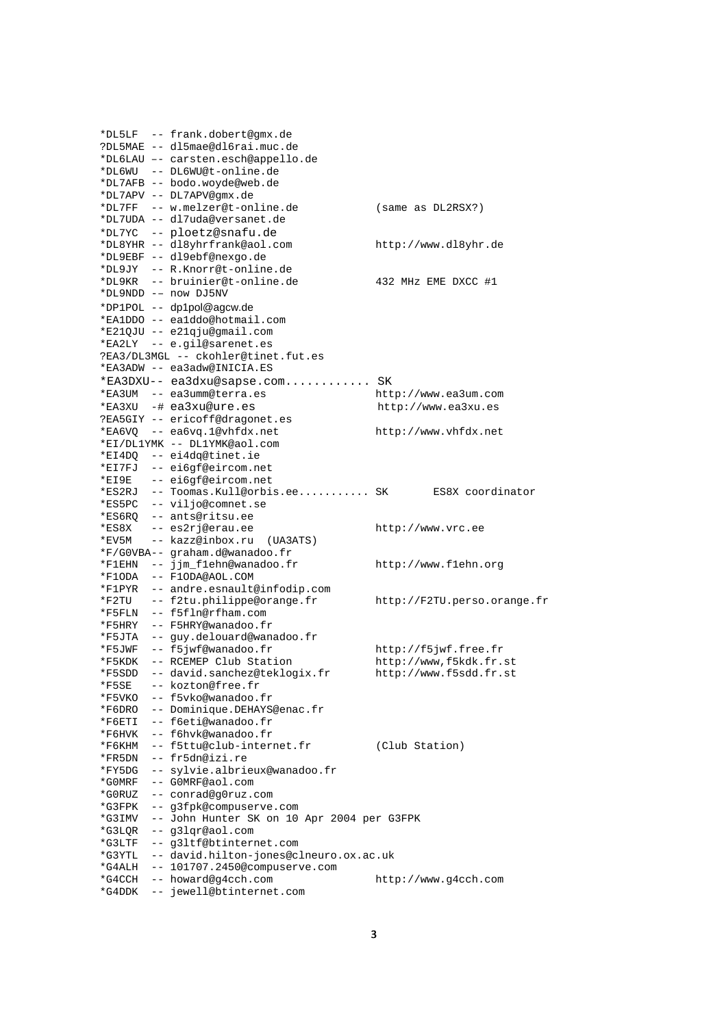|          | *DL5LF -- frank.dobert@gmx.de                       |                             |
|----------|-----------------------------------------------------|-----------------------------|
|          | ?DL5MAE -- dl5mae@dl6rai.muc.de                     |                             |
|          | *DL6LAU -- carsten.esch@appello.de                  |                             |
|          | *DL6WU -- DL6WU@t-online.de                         |                             |
|          | *DL7AFB -- bodo.woyde@web.de                        |                             |
|          | *DL7APV -- DL7APV@gmx.de                            |                             |
|          | *DL7FF -- w.melzer@t-online.de                      | (same as DL2RSX?)           |
|          | *DL7UDA -- dl7uda@versanet.de                       |                             |
|          | *DL7YC -- ploetz@snafu.de                           |                             |
|          | *DL8YHR -- dl8yhrfrank@aol.com                      | http://www.dl8yhr.de        |
|          | *DL9EBF -- dl9ebf@nexgo.de                          |                             |
|          | *DL9JY -- R.Knorr@t-online.de                       |                             |
|          | *DL9KR -- bruinier@t-online.de                      | 432 MHz EME DXCC #1         |
|          | *DL9NDD -- now DJ5NV                                |                             |
|          | *DP1POL -- dp1pol@agcw.de                           |                             |
|          | *EA1DDO -- ea1ddo@hotmail.com                       |                             |
|          | *E21QJU -- e21qju@qmail.com                         |                             |
|          | *EA2LY -- e.gil@sarenet.es                          |                             |
|          | ?EA3/DL3MGL -- ckohler@tinet.fut.es                 |                             |
|          | *EA3ADW -- ea3adw@INICIA.ES                         |                             |
|          | *EA3DXU-- ea3dxu@sapse.com SK                       |                             |
|          | *EA3UM -- ea3umm@terra.es                           | http://www.ea3um.com        |
|          | *EA3XU -# ea3xu@ure.es                              | http://www.ea3xu.es         |
|          | ?EA5GIY -- ericoff@dragonet.es                      |                             |
|          | *EA6VQ -- ea6vq.1@vhfdx.net                         | http://www.vhfdx.net        |
|          | *EI/DL1YMK -- DL1YMK@aol.com                        |                             |
|          | *EI4DQ -- ei4dq@tinet.ie                            |                             |
|          | *EI7FJ -- ei6gf@eircom.net                          |                             |
|          | *EI9E -- ei6gf@eircom.net                           |                             |
|          | *ES2RJ -- Toomas. Kull@orbis.ee SK ES8X coordinator |                             |
|          | *ES5PC -- viljo@comnet.se                           |                             |
|          | *ES6RQ -- ants@ritsu.ee                             |                             |
| $*$ ES8X | -- es2rj@erau.ee                                    | http://www.vrc.ee           |
|          | *EV5M -- kazz@inbox.ru (UA3ATS)                     |                             |
|          | *F/G0VBA-- graham.d@wanadoo.fr                      |                             |
|          | *F1EHN -- jjm_f1ehn@wanadoo.fr                      | http://www.flehn.org        |
|          | *F1ODA -- F1ODA@AOL.COM                             |                             |
|          | *F1PYR -- andre.esnault@infodip.com                 |                             |
|          | *F2TU -- f2tu.philippe@orange.fr                    | http://F2TU.perso.orange.fr |
|          | *F5FLN -- f5fln@rfham.com                           |                             |
|          | *F5HRY -- F5HRY@wanadoo.fr                          |                             |
|          | *F5JTA -- guy.delouard@wanadoo.fr                   |                             |
|          | *F5JWF -- f5jwf@wanadoo.fr                          | http://f5jwf.free.fr        |
|          | *F5KDK -- RCEMEP Club Station                       | http://www.f5kdk.fr.st      |
| *F5SDD   | -- david.sanchez@teklogix.fr                        | http://www.f5sdd.fr.st      |
| *F5SE    | -- kozton@free.fr                                   |                             |
|          | *F5VKO -- f5vko@wanadoo.fr                          |                             |
|          | *F6DRO -- Dominique.DEHAYS@enac.fr                  |                             |
| *F6ETI   | -- f6eti@wanadoo.fr                                 |                             |
| *F6HVK   | -- f6hvk@wanadoo.fr                                 |                             |
|          | *F6KHM -- f5ttu@club-internet.fr                    | (Club Station)              |
| *FR5DN   | -- fr5dn@izi.re                                     |                             |
| *FY5DG   | -- sylvie.albrieux@wanadoo.fr                       |                             |
|          | -- GOMRF@aol.com                                    |                             |
| *GOMRF   |                                                     |                             |
| *G0RUZ   | -- conrad@g0ruz.com                                 |                             |
| *G3FPK   | -- g3fpk@compuserve.com                             |                             |
| *G3IMV   | -- John Hunter SK on 10 Apr 2004 per G3FPK          |                             |
| *G3LQR   | -- q3lqr@aol.com                                    |                             |
| *G3LTF   | -- g3ltf@btinternet.com                             |                             |
| *G3YTL   | -- david.hilton-jones@clneuro.ox.ac.uk              |                             |
| *G4ALH   | -- 101707.2450@compuserve.com                       |                             |
| *G4CCH   | -- howard@q4cch.com                                 | http://www.g4cch.com        |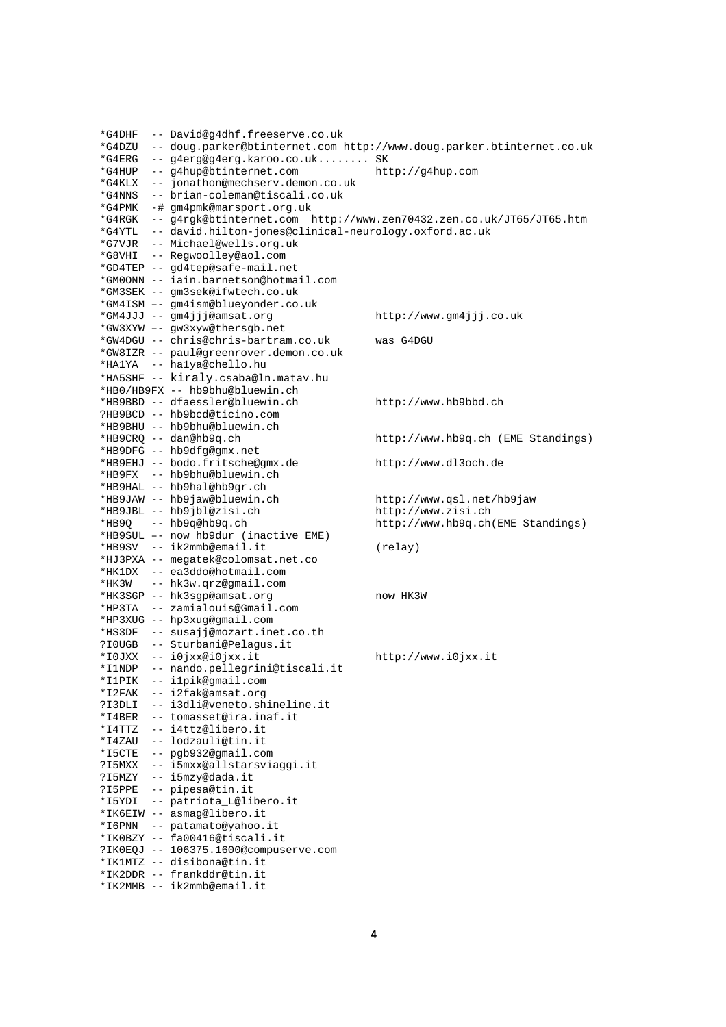```
*G4DHF -- David@g4dhf.freeserve.co.uk 
*G4DZU -- doug.parker@btinternet.com http://www.doug.parker.btinternet.co.uk 
*G4ERG -- g4erg@g4erg.karoo.co.uk........ SK 
*G4HUP -- g4hup@btinternet.com http://g4hup.com 
*G4KLX -- jonathon@mechserv.demon.co.uk 
*G4NNS -- brian-coleman@tiscali.co.uk 
*G4PMK -# gm4pmk@marsport.org.uk 
*G4RGK -- g4rgk@btinternet.com http://www.zen70432.zen.co.uk/JT65/JT65.htm 
*G4YTL -- david.hilton-jones@clinical-neurology.oxford.ac.uk 
*G7VJR -- Michael@wells.org.uk 
*G8VHI -- Regwoolley@aol.com 
*GD4TEP -- gd4tep@safe-mail.net 
*GM0ONN -- iain.barnetson@hotmail.com 
*GM3SEK -- gm3sek@ifwtech.co.uk 
*GM4ISM –- gm4ism@blueyonder.co.uk 
*GM4JJJ -- gm4jjj@amsat.org http://www.gm4jjj.co.uk 
*GW3XYW –- gw3xyw@thersgb.net 
*GW4DGU -- chris@chris-bartram.co.uk was G4DGU 
*GW8IZR -- paul@greenrover.demon.co.uk 
*HA1YA -- ha1ya@chello.hu 
*HA5SHF -- kiraly.csaba@ln.matav.hu 
*HB0/HB9FX -- hb9bhu@bluewin.ch 
*HB9BBD -- dfaessler@bluewin.ch http://www.hb9bbd.ch 
?HB9BCD -- hb9bcd@ticino.com 
*HB9BHU -- hb9bhu@bluewin.ch 
                                        http://www.hb9q.ch (EME Standings)
*HB9DFG -- hb9dfg@gmx.net 
*HB9EHJ -- bodo.fritsche@gmx.de http://www.dl3och.de 
*HB9FX -- hb9bhu@bluewin.ch 
*HB9HAL -- hb9hal@hb9gr.ch 
*HB9JAW -- hb9jaw@bluewin.ch http://www.qsl.net/hb9jaw 
*HB9JBL -- hb9jbl@zisi.ch http://www.zisi.ch 
*HB9Q -- hb9q@hb9q.ch http://www.hb9q.ch(EME Standings) 
*HB9SUL –- now hb9dur (inactive EME) 
*HB9SV -- ik2mmb@email.it (relay) 
*HJ3PXA -- megatek@colomsat.net.co 
*HK1DX -- ea3ddo@hotmail.com 
*HK3W -- hk3w.qrz@gmail.com 
*HK3SGP -- hk3sgp@amsat.org now HK3W
*HP3TA -- zamialouis@Gmail.com 
*HP3XUG -- hp3xug@gmail.com 
*HS3DF -- susajj@mozart.inet.co.th 
?I0UGB -- Sturbani@Pelagus.it 
*I0JXX -- i0jxx@i0jxx.it http://www.i0jxx.it 
*I1NDP -- nando.pellegrini@tiscali.it 
*I1PIK -- i1pik@gmail.com 
*I2FAK -- i2fak@amsat.org 
?I3DLI -- i3dli@veneto.shineline.it 
*I4BER -- tomasset@ira.inaf.it 
*I4TTZ -- i4ttz@libero.it 
*I4ZAU -- lodzauli@tin.it 
*I5CTE -- pgb932@gmail.com 
?I5MXX -- i5mxx@allstarsviaggi.it 
?I5MZY -- i5mzy@dada.it 
?I5PPE -- pipesa@tin.it 
*I5YDI -- patriota_L@libero.it 
*IK6EIW -- asmag@libero.it
*I6PNN -- patamato@yahoo.it 
*IK0BZY -- fa00416@tiscali.it 
?IK0EQJ -- 106375.1600@compuserve.com 
*IK1MTZ -- disibona@tin.it 
*IK2DDR -- frankddr@tin.it 
*IK2MMB -- ik2mmb@email.it
```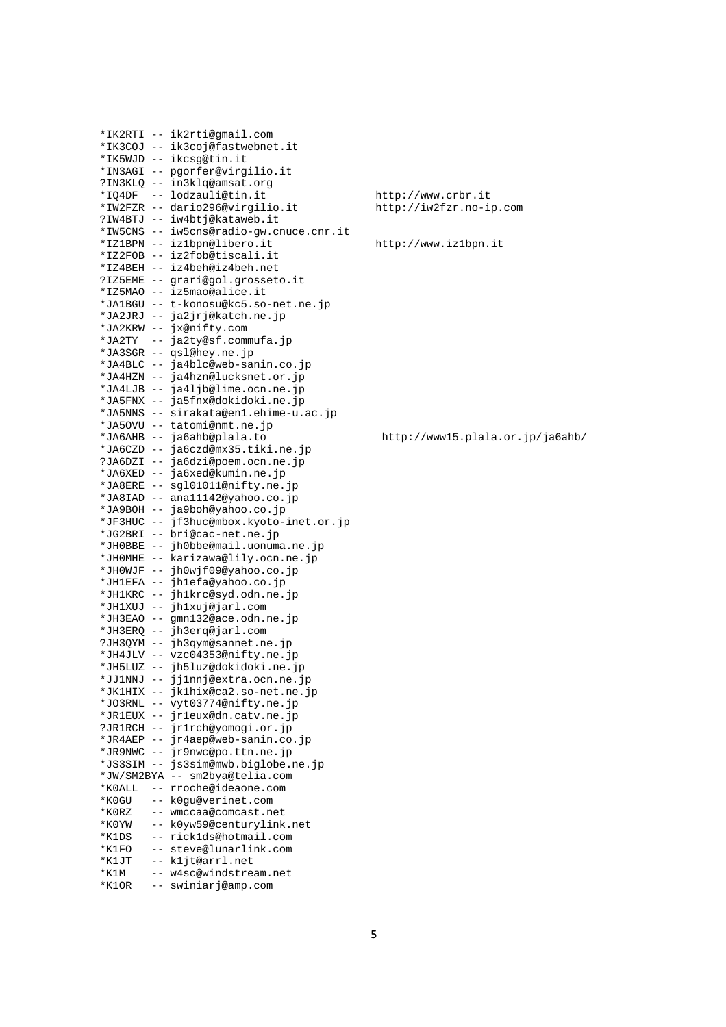```
*IK2RTI -- ik2rti@gmail.com 
*IK3COJ -- ik3coj@fastwebnet.it 
*IK5WJD -- ikcsg@tin.it 
*IN3AGI -- pgorfer@virgilio.it 
?IN3KLQ -- in3klq@amsat.org 
*IQ4DF -- lodzauli@tin.it http://www.crbr.it 
*IW2FZR -- dario296@virgilio.it http://iw2fzr.no-ip.com 
?IW4BTJ -- iw4btj@kataweb.it 
*IW5CNS -- iw5cns@radio-gw.cnuce.cnr.it 
*IZ1BPN -- iz1bpn@libero.it http://www.iz1bpn.it 
*IZ2FOB -- iz2fob@tiscali.it 
*IZ4BEH -- iz4beh@iz4beh.net 
?IZ5EME -- grari@gol.grosseto.it 
*IZ5MAO -- iz5mao@alice.it 
*JA1BGU -- t-konosu@kc5.so-net.ne.jp 
*JA2JRJ -- ja2jrj@katch.ne.jp 
*JA2KRW -- jx@nifty.com 
*JA2TY -- ja2ty@sf.commufa.jp 
*JA3SGR -- qsl@hey.ne.jp 
*JA4BLC -- ja4blc@web-sanin.co.jp 
*JA4HZN -- ja4hzn@lucksnet.or.jp 
*JA4LJB -- ja4ljb@lime.ocn.ne.jp 
*JA5FNX -- ja5fnx@dokidoki.ne.jp 
*JA5NNS -- sirakata@en1.ehime-u.ac.jp 
*JA5OVU -- tatomi@nmt.ne.jp 
*JA6AHB -- ja6ahb@plala.to http://www15.plala.or.jp/ja6ahb/ 
*JA6CZD -- ja6czd@mx35.tiki.ne.jp 
?JA6DZI -- ja6dzi@poem.ocn.ne.jp 
*JA6XED -- ja6xed@kumin.ne.jp 
*JA8ERE -- sgl01011@nifty.ne.jp 
*JA8IAD -- ana11142@yahoo.co.jp 
*JA9BOH -- ja9boh@yahoo.co.jp 
*JF3HUC -- jf3huc@mbox.kyoto-inet.or.jp 
*JG2BRI -- bri@cac-net.ne.jp 
*JH0BBE -- jh0bbe@mail.uonuma.ne.jp 
*JH0MHE -- karizawa@lily.ocn.ne.jp 
*JH0WJF -- jh0wjf09@yahoo.co.jp 
*JH1EFA -- jh1efa@yahoo.co.jp 
*JH1KRC -- jh1krc@syd.odn.ne.jp 
*JH1XUJ -- jh1xuj@jarl.com 
*JH3EAO -- gmn132@ace.odn.ne.jp 
*JH3ERQ -- jh3erq@jarl.com 
?JH3QYM -- jh3qym@sannet.ne.jp 
*JH4JLV -- vzc04353@nifty.ne.jp 
*JH5LUZ -- jh5luz@dokidoki.ne.jp 
*JJ1NNJ -- jj1nnj@extra.ocn.ne.jp 
*JK1HIX -- jk1hix@ca2.so-net.ne.jp 
*JO3RNL -- vyt03774@nifty.ne.jp 
*JR1EUX -- jr1eux@dn.catv.ne.jp 
?JR1RCH -- jr1rch@yomogi.or.jp 
*JR4AEP -- jr4aep@web-sanin.co.jp 
*JR9NWC -- jr9nwc@po.ttn.ne.jp 
*JS3SIM -- js3sim@mwb.biglobe.ne.jp 
*JW/SM2BYA -- sm2bya@telia.com 
*K0ALL -- rroche@ideaone.com 
*K0GU -- k0gu@verinet.com 
*K0RZ -- wmccaa@comcast.net 
*K0YW -- k0yw59@centurylink.net 
*K1DS -- rick1ds@hotmail.com 
*K1FO -- steve@lunarlink.com 
*K1JT -- k1jt@arrl.net 
*K1M -- w4sc@windstream.net 
*K1OR -- swiniarj@amp.com
```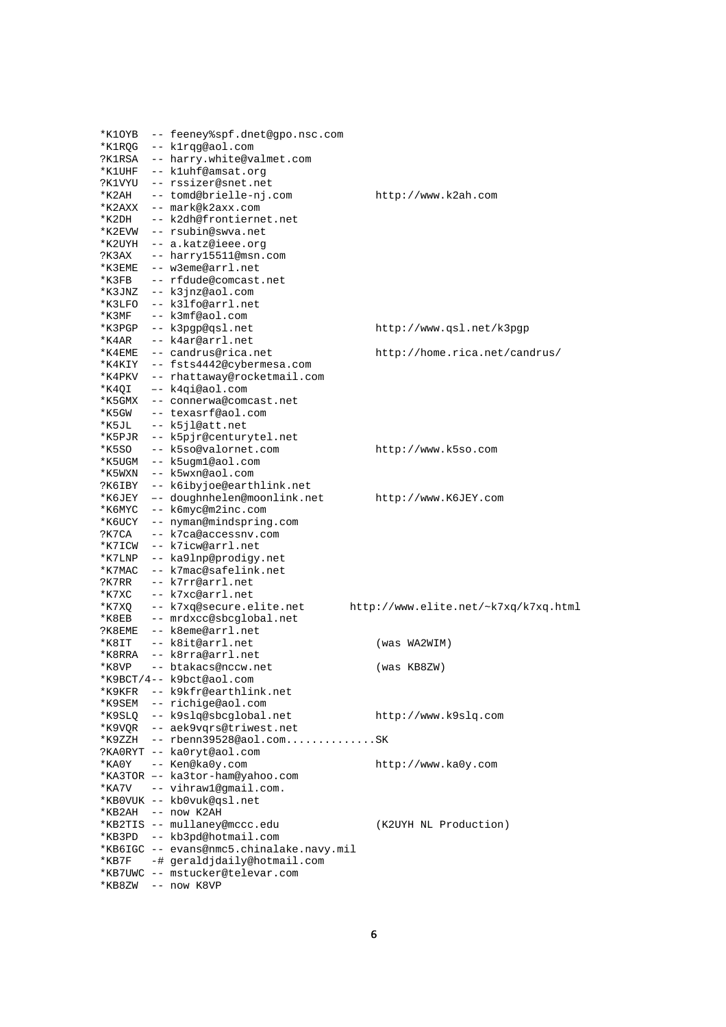| *K1OYB | -- feeney%spf.dnet@gpo.nsc.com           |                                      |
|--------|------------------------------------------|--------------------------------------|
| *K1RQG | -- klrqg@aol.com                         |                                      |
|        | ?K1RSA -- harry.white@valmet.com         |                                      |
| *K1UHF | -- kluhf@amsat.org                       |                                      |
| ?K1VYU | -- rssizer@snet.net                      |                                      |
| *K2AH  | -- tomd@brielle-nj.com                   | http://www.k2ah.com                  |
| *K2AXX | -- mark@k2axx.com                        |                                      |
| *K2DH  | -- k2dh@frontiernet.net                  |                                      |
| *K2EVW | -- rsubin@swya.net                       |                                      |
| *K2UYH | -- a.katz@ieee.org                       |                                      |
| ?КЗАХ  | -- harry15511@msn.com                    |                                      |
| *K3EME | -- w3eme@arrl.net                        |                                      |
| *K3FB  | -- rfdude@comcast.net                    |                                      |
| *K3JNZ | -- k3jnz@aol.com                         |                                      |
| *K3LFO | -- k3lfo@arrl.net                        |                                      |
| *K3MF  | -- k3mf@aol.com                          |                                      |
| *K3PGP | -- k3pgp@qsl.net                         | http://www.qsl.net/k3pgp             |
| *K4AR  | -- k4ar@arrl.net                         |                                      |
| *K4EME | -- candrus@rica.net                      | http://home.rica.net/candrus/        |
|        | *K4KIY -- fsts4442@cybermesa.com         |                                      |
| *K4PKV | -- rhattaway@rocketmail.com              |                                      |
| *K4QI  | -- k4qi@aol.com                          |                                      |
| *K5GMX | -- connerwa@comcast.net                  |                                      |
| *K5GW  | -- texasrf@aol.com                       |                                      |
| *K5JL  | -- k5jl@att.net                          |                                      |
| *K5PJR | -- k5pjr@centurytel.net                  |                                      |
| *K5SO  | -- k5so@valornet.com                     |                                      |
|        |                                          | http://www.k5so.com                  |
| *K5UGM | -- k5ugm1@aol.com                        |                                      |
| *K5WXN | -- k5wxn@aol.com                         |                                      |
| ?К6ІВҮ | -- k6ibyjoe@earthlink.net                |                                      |
| *K6JEY | -- doughnhelen@moonlink.net              | http://www.K6JEY.com                 |
| *K6MYC | -- k6myc@m2inc.com                       |                                      |
| *K6UCY | -- nyman@mindspring.com                  |                                      |
| ?K7CA  | -- k7ca@accessnv.com                     |                                      |
| *K7ICW | -- k7icw@arrl.net                        |                                      |
| *K7LNP | -- ka9lnp@prodigy.net                    |                                      |
| *K7MAC | -- k7mac@safelink.net                    |                                      |
| ?K7RR  | -- k7rr@arrl.net                         |                                      |
| *K7XC  | -- k7xc@arrl.net                         |                                      |
| *K7XQ  | -- k7xq@secure.elite.net                 | http://www.elite.net/~k7xq/k7xq.html |
| *K8EB  | -- mrdxcc@sbcqlobal.net                  |                                      |
| ?K8EME | -- k8eme@arrl.net                        |                                      |
| *K8IT  | -- k8it@arrl.net                         | (was WA2WIM)                         |
| *K8RRA | -- k8rra@arrl.net                        |                                      |
| *K8VP  | -- btakacs@nccw.net                      | (was KB8ZW)                          |
|        | *K9BCT/4-- k9bct@aol.com                 |                                      |
|        | *K9KFR -- k9kfr@earthlink.net            |                                      |
|        | *K9SEM -- richige@aol.com                |                                      |
|        | *K9SLQ -- k9slq@sbcglobal.net            | http://www.k9slq.com                 |
|        | *K9VQR -- aek9vqrs@triwest.net           |                                      |
|        | $*$ K9ZZH -- rbenn39528@aol.comSK        |                                      |
|        | ?KAORYT -- kaOryt@aol.com                |                                      |
|        | *KA0Y -- Ken@ka0y.com                    | http://www.ka0y.com                  |
|        | *KA3TOR -- ka3tor-ham@yahoo.com          |                                      |
|        | *KA7V -- vihraw1@gmail.com.              |                                      |
|        | *KBOVUK -- kbOvuk@qsl.net                |                                      |
|        | *KB2AH -- now K2AH                       |                                      |
|        | *KB2TIS -- mullaney@mccc.edu             | (K2UYH NL Production)                |
|        | *KB3PD -- kb3pd@hotmail.com              |                                      |
|        | *KB6IGC -- evans@nmc5.chinalake.navy.mil |                                      |
|        | *KB7F -# geraldjdaily@hotmail.com        |                                      |
|        | *KB7UWC -- mstucker@televar.com          |                                      |
|        | *KB8ZW -- now K8VP                       |                                      |
|        |                                          |                                      |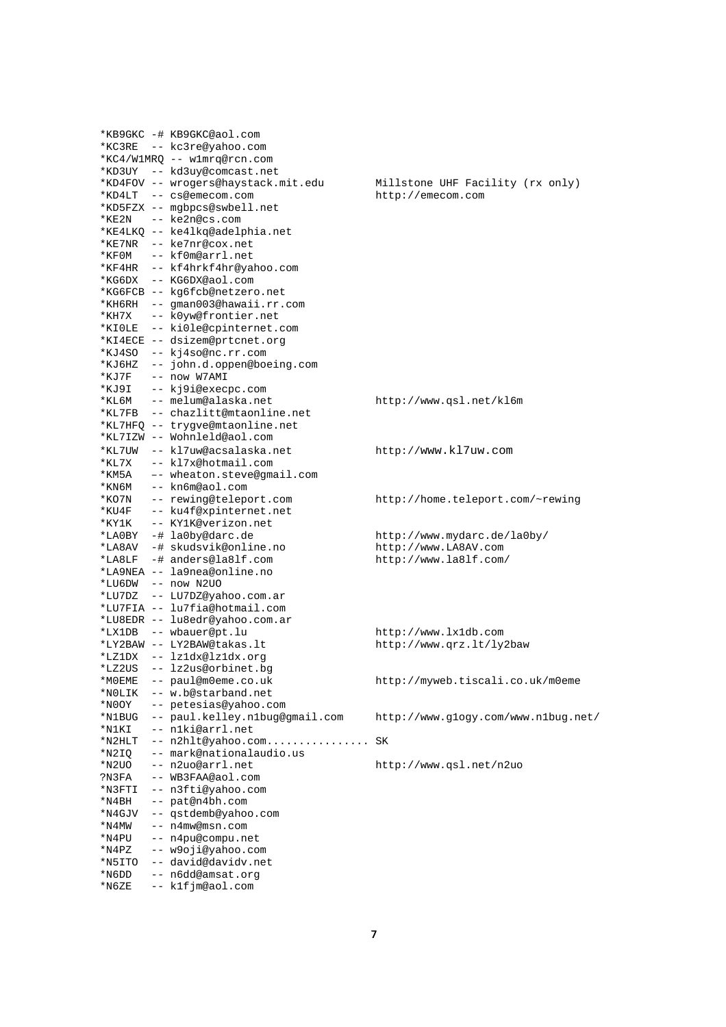|           | *KB9GKC -# KB9GKC@aol.com           |                                     |
|-----------|-------------------------------------|-------------------------------------|
|           | *KC3RE -- kc3re@yahoo.com           |                                     |
|           | *KC4/W1MRQ -- w1mrq@rcn.com         |                                     |
|           | *KD3UY -- kd3uy@comcast.net         |                                     |
|           | *KD4FOV -- wrogers@haystack.mit.edu | Millstone UHF Facility (rx only)    |
|           | *KD4LT -- cs@emecom.com             | http://emecom.com                   |
|           | *KD5FZX -- mgbpcs@swbell.net        |                                     |
|           | *KE2N -- ke2n@cs.com                |                                     |
|           | *KE4LKQ -- ke4lkq@adelphia.net      |                                     |
|           | *KE7NR -- ke7nr@cox.net             |                                     |
|           | *KFOM -- kf0m@arrl.net              |                                     |
|           | *KF4HR -- kf4hrkf4hr@yahoo.com      |                                     |
|           | *KG6DX -- KG6DX@aol.com             |                                     |
|           | *KG6FCB -- kg6fcb@netzero.net       |                                     |
|           | *KH6RH -- gman003@hawaii.rr.com     |                                     |
| $*$ KH7X  | -- k0yw@frontier.net                |                                     |
|           | *KIOLE -- kiOle@cpinternet.com      |                                     |
|           | *KI4ECE -- dsizem@prtcnet.org       |                                     |
| *KJ4SO    | -- kj4so@nc.rr.com                  |                                     |
| *KJ6HZ    | -- john.d.oppen@boeing.com          |                                     |
| *KJ7F     | -- now W7AMI                        |                                     |
| *KJ9I     | -- kj9i@execpc.com                  |                                     |
| *КL6М     | -- melum@alaska.net                 | http://www.qsl.net/kl6m             |
| *KL7FB    | -- chazlitt@mtaonline.net           |                                     |
|           | *KL7HFQ -- trygve@mtaonline.net     |                                     |
|           | *KL7IZW -- Wohnleld@aol.com         |                                     |
| *KL7UW    | -- kl7uw@acsalaska.net              | http://www.kl7uw.com                |
| *KL7X     | -- kl7x@hotmail.com                 |                                     |
| *KM5A     | -- wheaton.steve@gmail.com          |                                     |
| *KN6M     | -- kn6m@aol.com                     |                                     |
| *KO7N     | -- rewing@teleport.com              | http://home.teleport.com/~rewing    |
| *KU4F     | -- ku4f@xpinternet.net              |                                     |
| *KY1K     | -- KY1K@verizon.net                 |                                     |
| *LA0BY    | -# la0by@darc.de                    | http://www.mydarc.de/la0by/         |
| *LA8AV    | -# skudsvik@online.no               | http://www.LA8AV.com                |
| $*$ LA8LF | -# anders@la8lf.com                 | http://www.la8lf.com/               |
|           | *LA9NEA -- la9nea@online.no         |                                     |
|           | *LU6DW -- now N2UO                  |                                     |
|           | *LU7DZ -- LU7DZ@yahoo.com.ar        |                                     |
|           | *LU7FIA -- lu7fia@hotmail.com       |                                     |
|           | *LU8EDR -- lu8edr@yahoo.com.ar      |                                     |
|           | *LX1DB -- wbauer@pt.lu              | http://www.lx1db.com                |
|           | *LY2BAW -- LY2BAW@takas.lt          | http://www.qrz.lt/ly2baw            |
|           | *LZ1DX -- lz1dx@lz1dx.org           |                                     |
|           | *LZ2US -- lz2us@orbinet.bq          |                                     |
| *MOEME    | -- paul@m0eme.co.uk                 | http://myweb.tiscali.co.uk/m0eme    |
| *NOLIK    | -- w.b@starband.net                 |                                     |
| *N0OY     | -- petesias@yahoo.com               |                                     |
| *N1BUG    | -- paul.kelley.nlbug@gmail.com      | http://www.glogy.com/www.nlbug.net/ |
| *N1KI     | -- n1ki@arrl.net                    |                                     |
| $*$ N2HLT | -- n2hlt@yahoo.com                  | SΚ                                  |
| *N2IQ     | -- mark@nationalaudio.us            |                                     |
| *N2UO     | -- n2uo@arrl.net                    | http://www.qsl.net/n2uo             |
| ?N3FA     | -- WB3FAA@aol.com                   |                                     |
| *N3FTI    | -- n3fti@yahoo.com                  |                                     |
| *N4BH     | -- pat@n4bh.com                     |                                     |
| *N4GJV    | -- qstdemb@yahoo.com                |                                     |
| *N4MW     | -- n4mw@msn.com                     |                                     |
| *N4PU     | -- n4pu@compu.net                   |                                     |
| *N4PZ     | -- w9oji@yahoo.com                  |                                     |
| *N5ITO    | -- david@davidv.net                 |                                     |
| *N6DD     | -- n6dd@amsat.org                   |                                     |
| *N6ZE     | -- k1fjm@aol.com                    |                                     |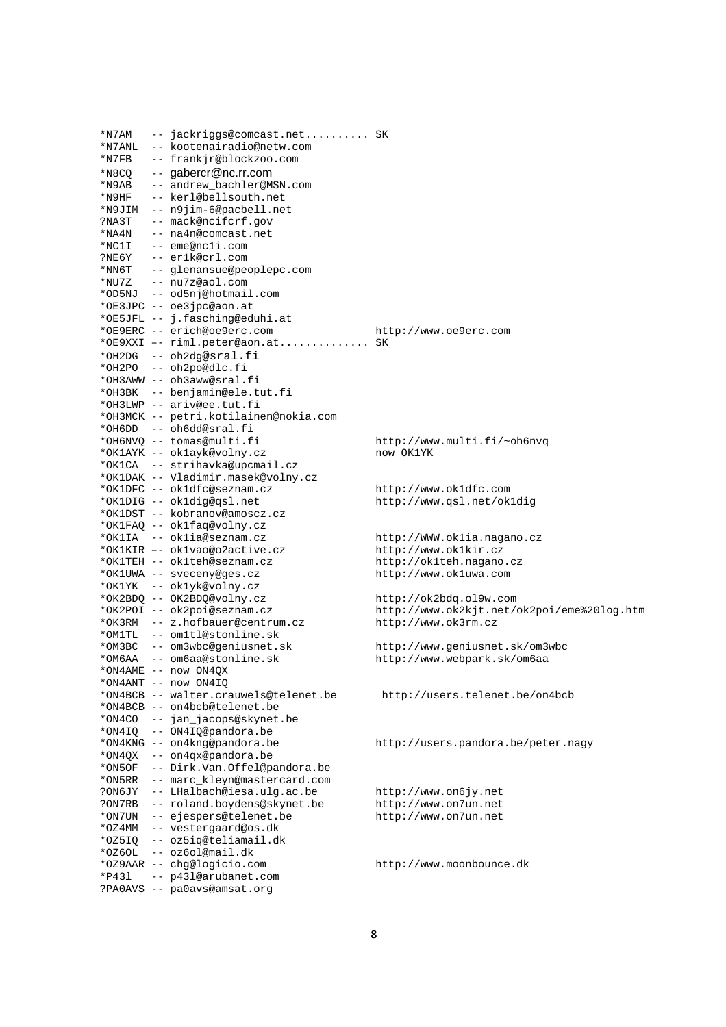| *N7AM         | -- jackriggs@comcast.net SK                                      |                                            |
|---------------|------------------------------------------------------------------|--------------------------------------------|
| $*$ N $7$ ANL | -- kootenairadio@netw.com                                        |                                            |
| *N7FB         | -- frankjr@blockzoo.com                                          |                                            |
| *N8CO         | $--$ gabercr@nc.rr.com                                           |                                            |
| *N9AB         | -- andrew_bachler@MSN.com                                        |                                            |
| *N9HF         | -- kerl@bellsouth.net                                            |                                            |
|               | *N9JIM -- n9jim-6@pacbell.net                                    |                                            |
| ?NA3T         | -- mack@ncifcrf.gov                                              |                                            |
|               | *NA4N -- na4n@comcast.net                                        |                                            |
| *NC1I         | -- eme@ncli.com                                                  |                                            |
|               | ?NE6Y -- er1k@crl.com                                            |                                            |
|               | *NN6T -- glenansue@peoplepc.com                                  |                                            |
|               | *NU7Z -- nu7z@aol.com                                            |                                            |
|               | *OD5NJ -- od5nj@hotmail.com                                      |                                            |
|               | *OE3JPC -- oe3jpc@aon.at                                         |                                            |
|               | *OE5JFL -- j.fasching@eduhi.at                                   |                                            |
|               | *OE9ERC -- erich@oe9erc.com                                      | http://www.oe9erc.com                      |
|               | *OE9XXI -- riml.peter@aon.at SK                                  |                                            |
|               | *OH2DG -- oh2dq@sral.fi                                          |                                            |
|               | *OH2PO -- oh2po@dlc.fi                                           |                                            |
|               | *OH3AWW -- oh3aww@sral.fi                                        |                                            |
|               | *OH3BK -- benjamin@ele.tut.fi                                    |                                            |
|               | *OH3LWP -- ariv@ee.tut.fi                                        |                                            |
|               |                                                                  |                                            |
|               | *OH3MCK -- petri.kotilainen@nokia.com<br>*OH6DD -- oh6dd@sral.fi |                                            |
|               | *OH6NVO -- tomas@multi.fi                                        |                                            |
|               |                                                                  | http://www.multi.fi/~oh6nvq                |
|               | *OK1AYK -- ok1ayk@volny.cz<br>*OK1CA -- strihavka@upcmail.cz     | now OK1YK                                  |
|               | *OK1DAK -- Vladimir.masek@volny.cz                               |                                            |
|               |                                                                  |                                            |
|               | *OK1DFC -- ok1dfc@seznam.cz                                      | http://www.ok1dfc.com                      |
|               | *OK1DIG -- ok1dig@qsl.net                                        | http://www.qsl.net/okldig                  |
|               | *OK1DST -- kobranov@amoscz.cz                                    |                                            |
|               | *OK1FAQ -- ok1faq@volny.cz                                       |                                            |
|               | *OK1IA -- ok1ia@seznam.cz<br>*OK1KIR -- ok1vao@o2active.cz       | http://WWW.oklia.nagano.cz                 |
|               |                                                                  | http://www.oklkir.cz                       |
|               | *OK1TEH -- ok1teh@seznam.cz                                      | http://ok1teh.nagano.cz                    |
|               | *OK1UWA -- sveceny@ges.cz                                        | http://www.okluwa.com                      |
|               | *OK1YK -- ok1yk@volny.cz                                         |                                            |
|               | *OK2BDQ -- OK2BDQ@volny.cz                                       | http://ok2bdq.ol9w.com                     |
|               | *OK2POI -- ok2poi@seznam.cz<br>*OK3RM -- z.hofbauer@centrum.cz   | http://www.ok2kjt.net/ok2poi/eme%20log.htm |
|               |                                                                  | http://www.ok3rm.cz                        |
|               | *OM1TL -- om1tl@stonline.sk                                      |                                            |
|               | *OM3BC -- om3wbc@geniusnet.sk                                    | http://www.geniusnet.sk/om3wbc             |
|               | *OM6AA -- om6aa@stonline.sk                                      | http://www.webpark.sk/om6aa                |
|               | *ON4AME -- now ON4OX                                             |                                            |
|               | *ON4ANT -- now ON4IQ                                             |                                            |
|               | *ON4BCB -- walter.crauwels@telenet.be                            | http://users.telenet.be/on4bcb             |
|               | *ON4BCB -- on4bcb@telenet.be                                     |                                            |
|               | *ON4CO -- jan_jacops@skynet.be                                   |                                            |
| *ON4IQ        | -- ON4IQ@pandora.be                                              |                                            |
|               | *ON4KNG -- on4knq@pandora.be                                     | http://users.pandora.be/peter.nagy         |
| *ON4QX        | -- on4qx@pandora.be                                              |                                            |
| *ON5OF        | -- Dirk.Van.Offel@pandora.be                                     |                                            |
| *ON5RR        | -- marc_kleyn@mastercard.com                                     |                                            |
| ?ON6JY        | -- LHalbach@iesa.ulg.ac.be                                       | http://www.on6jy.net                       |
| ?ON7RB        | -- roland.boydens@skynet.be                                      | http://www.on7un.net                       |
| *ON7UN        | -- ejespers@telenet.be                                           | http://www.on7un.net                       |
| *OZ4MM        | -- vestergaard@os.dk                                             |                                            |
| *OZ5IQ        | -- oz5iq@teliamail.dk                                            |                                            |
| *OZ6OL        | -- oz6ol@mail.dk                                                 |                                            |
|               | *OZ9AAR -- chg@logicio.com                                       | http://www.moonbounce.dk                   |
| *P431         | -- p43l@arubanet.com                                             |                                            |
|               | ?PA0AVS -- pa0avs@amsat.org                                      |                                            |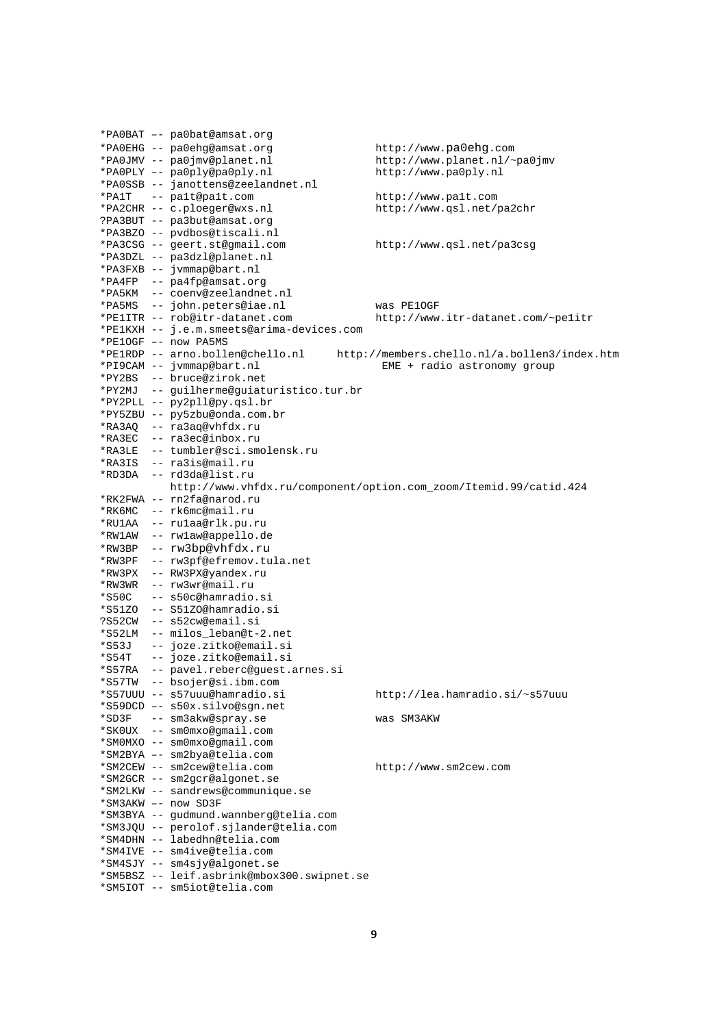|        | *PAOBAT -- paObat@amsat.org                                  |                                                                   |
|--------|--------------------------------------------------------------|-------------------------------------------------------------------|
|        | *PAOEHG -- paOehq@amsat.org                                  | http://www.pa0ehg.com                                             |
|        | *PA0JMV -- pa0jmv@planet.nl                                  | http://www.planet.nl/~pa0jmv                                      |
|        | *PAOPLY -- pa0ply@pa0ply.nl                                  | http://www.pa0ply.nl                                              |
|        | *PA0SSB -- janottens@zeelandnet.nl                           |                                                                   |
| *PA1T  | -- palt@palt.com                                             | http://www.palt.com                                               |
|        | *PA2CHR -- c.ploeger@wxs.nl                                  | http://www.qsl.net/pa2chr                                         |
|        | ?PA3BUT -- pa3but@amsat.org                                  |                                                                   |
|        | *PA3BZO -- pvdbos@tiscali.nl                                 |                                                                   |
|        | *PA3CSG -- geert.st@gmail.com                                | http://www.qsl.net/pa3csg                                         |
|        | *PA3DZL -- pa3dzl@planet.nl                                  |                                                                   |
|        | *PA3FXB -- jvmmap@bart.nl                                    |                                                                   |
|        | *PA4FP -- pa4fp@amsat.org                                    |                                                                   |
|        | *PA5KM -- coenv@zeelandnet.nl                                |                                                                   |
|        | *PA5MS -- john.peters@iae.nl                                 | was PE1OGF                                                        |
|        | *PElITR -- rob@itr-datanet.com                               | http://www.itr-datanet.com/~pelitr                                |
|        | *PE1KXH -- j.e.m.smeets@arima-devices.com                    |                                                                   |
|        | *PE1OGF -- now PA5MS                                         |                                                                   |
|        | *PE1RDP -- arno.bollen@chello.nl                             | http://members.chello.nl/a.bollen3/index.htm                      |
|        | *PI9CAM -- jvmmap@bart.nl                                    | $EME +$ radio astronomy group                                     |
|        | *PY2BS -- bruce@zirok.net                                    |                                                                   |
|        | *PY2MJ -- guilherme@guiaturistico.tur.br                     |                                                                   |
|        | *PY2PLL -- py2pll@py.qsl.br                                  |                                                                   |
|        | *PY5ZBU -- py5zbu@onda.com.br                                |                                                                   |
|        | *RA3AQ -- ra3aq@vhfdx.ru                                     |                                                                   |
|        | *RA3EC -- ra3ec@inbox.ru                                     |                                                                   |
|        | *RA3LE -- tumbler@sci.smolensk.ru                            |                                                                   |
|        | *RA3IS -- ra3is@mail.ru                                      |                                                                   |
|        | *RD3DA -- rd3da@list.ru                                      |                                                                   |
|        |                                                              | http://www.vhfdx.ru/component/option.com_zoom/Itemid.99/catid.424 |
|        | *RK2FWA -- rn2fa@narod.ru                                    |                                                                   |
|        | *RK6MC -- rk6mc@mail.ru                                      |                                                                   |
|        | *RU1AA -- ru1aa@rlk.pu.ru                                    |                                                                   |
|        | *RW1AW -- rw1aw@appello.de                                   |                                                                   |
|        | *RW3BP -- rw3bp@vhfdx.ru                                     |                                                                   |
| *RW3PF |                                                              |                                                                   |
|        | -- rw3pf@efremov.tula.net<br>*RW3PX -- RW3PX@yandex.ru       |                                                                   |
|        | *RW3WR -- rw3wr@mail.ru                                      |                                                                   |
|        | -- s50c@hamradio.si                                          |                                                                   |
| *S50C  | *S51ZO -- S51ZO@hamradio.si                                  |                                                                   |
|        |                                                              |                                                                   |
|        | ?S52CW -- s52cw@email.si                                     |                                                                   |
|        | *S52LM -- milos_leban@t-2.net                                |                                                                   |
| *S53J  | -- joze.zitko@email.si<br>-- joze.zitko@email.si             |                                                                   |
| *S54T  |                                                              |                                                                   |
| *S57RA | -- pavel.reberc@guest.arnes.si                               |                                                                   |
|        | *S57TW -- bsojer@si.ibm.com<br>*S57UUU -- s57uuu@hamradio.si |                                                                   |
|        |                                                              | http://lea.hamradio.si/~s57uuu                                    |
|        | *S59DCD -- s50x.silvo@sqn.net                                |                                                                   |
|        | *SD3F -- sm3akw@spray.se<br>*SK0UX -- sm0mxo@qmail.com       | was SM3AKW                                                        |
|        |                                                              |                                                                   |
|        | *SM0MXO -- sm0mxo@qmail.com                                  |                                                                   |
|        | *SM2BYA -- sm2bya@telia.com                                  |                                                                   |
|        | *SM2CEW -- sm2cew@telia.com                                  | http://www.sm2cew.com                                             |
|        | *SM2GCR -- sm2gcr@algonet.se                                 |                                                                   |
|        | *SM2LKW -- sandrews@communique.se                            |                                                                   |
|        | *SM3AKW -- now SD3F                                          |                                                                   |
|        | *SM3BYA -- gudmund.wannberg@telia.com                        |                                                                   |
|        | *SM3JQU -- perolof.sjlander@telia.com                        |                                                                   |
|        | *SM4DHN -- labedhn@telia.com                                 |                                                                   |
|        | *SM4IVE -- sm4ive@telia.com                                  |                                                                   |
|        | *SM4SJY -- sm4sjy@algonet.se                                 |                                                                   |
|        | *SM5BSZ -- leif.asbrink@mbox300.swipnet.se                   |                                                                   |
|        | *SM5IOT -- sm5iot@telia.com                                  |                                                                   |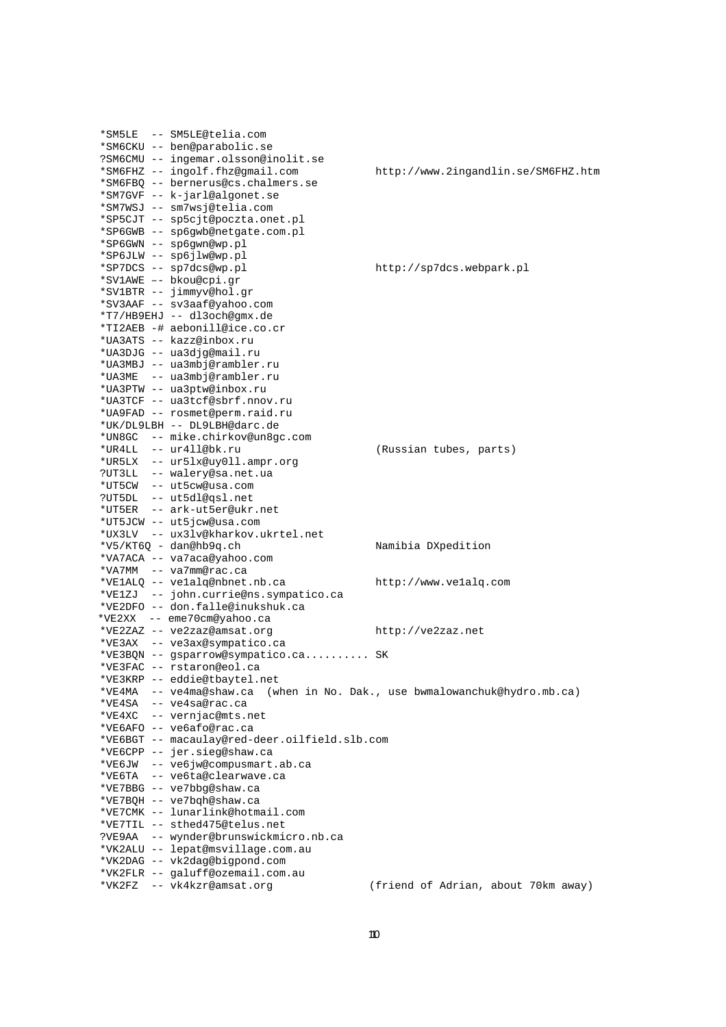|        | *SM5LE -- SM5LE@telia.com                                      |                                                   |
|--------|----------------------------------------------------------------|---------------------------------------------------|
|        | *SM6CKU -- ben@parabolic.se                                    |                                                   |
|        | ?SM6CMU -- ingemar.olsson@inolit.se                            |                                                   |
|        | *SM6FHZ -- ingolf.fhz@gmail.com                                | http://www.2ingandlin.se/SM6FHZ.htm               |
|        |                                                                |                                                   |
|        | *SM6FBQ -- bernerus@cs.chalmers.se                             |                                                   |
|        | *SM7GVF -- k-jarl@algonet.se                                   |                                                   |
|        | *SM7WSJ -- sm7wsj@telia.com                                    |                                                   |
|        | *SP5CJT -- sp5cjt@poczta.onet.pl                               |                                                   |
|        | *SP6GWB -- sp6gwb@netgate.com.pl                               |                                                   |
|        |                                                                |                                                   |
|        | *SP6GWN -- sp6gwn@wp.pl                                        |                                                   |
|        | *SP6JLW -- sp6jlw@wp.pl                                        |                                                   |
|        | *SP7DCS -- sp7dcs@wp.pl                                        | http://sp7dcs.webpark.pl                          |
|        | *SV1AWE -- bkou@cpi.gr                                         |                                                   |
|        | *SV1BTR -- jimmyv@hol.gr                                       |                                                   |
|        |                                                                |                                                   |
|        | *SV3AAF -- sv3aaf@yahoo.com                                    |                                                   |
|        | *T7/HB9EHJ -- dl3och@gmx.de                                    |                                                   |
|        | *TI2AEB -# aebonill@ice.co.cr                                  |                                                   |
|        | *UA3ATS -- kazz@inbox.ru                                       |                                                   |
|        | *UA3DJG -- ua3djg@mail.ru                                      |                                                   |
|        | *UA3MBJ -- ua3mbj@rambler.ru                                   |                                                   |
|        |                                                                |                                                   |
|        | *UA3ME -- ua3mbj@rambler.ru                                    |                                                   |
|        | *UA3PTW -- ua3ptw@inbox.ru                                     |                                                   |
|        | *UA3TCF -- ua3tcf@sbrf.nnov.ru                                 |                                                   |
|        | *UA9FAD -- rosmet@perm.raid.ru                                 |                                                   |
|        | *UK/DL9LBH -- DL9LBH@darc.de                                   |                                                   |
|        |                                                                |                                                   |
|        | *UN8GC -- mike.chirkov@un8gc.com                               |                                                   |
|        | *UR4LL -- ur4ll@bk.ru                                          | (Russian tubes, parts)                            |
|        | *UR5LX -- ur5lx@uy011.ampr.org                                 |                                                   |
|        | ?UT3LL -- walery@sa.net.ua                                     |                                                   |
|        | *UT5CW -- ut5cw@usa.com                                        |                                                   |
|        |                                                                |                                                   |
|        | ?UT5DL -- ut5dl@qsl.net                                        |                                                   |
|        | *UT5ER -- ark-ut5er@ukr.net                                    |                                                   |
|        | *UT5JCW -- ut5jcw@usa.com                                      |                                                   |
|        | *UX3LV -- ux3lv@kharkov.ukrtel.net                             |                                                   |
|        | *V5/KT6Q - dan@hb9q.ch                                         | Namibia DXpedition                                |
|        |                                                                |                                                   |
|        | *VA7ACA -- va7aca@yahoo.com                                    |                                                   |
|        | *VA7MM -- va7mm@rac.ca                                         |                                                   |
|        | *VE1ALQ -- ve1alq@nbnet.nb.ca                                  | http://www.velalq.com                             |
|        | *VE1ZJ -- john.currie@ns.sympatico.ca                          |                                                   |
|        | *VE2DFO -- don.falle@inukshuk.ca                               |                                                   |
|        | *VE2XX -- eme70cm@yahoo.ca                                     |                                                   |
|        |                                                                |                                                   |
|        | *VE2ZAZ -- ve2zaz@amsat.org                                    | http://ve2zaz.net                                 |
|        | *VE3AX -- ve3ax@sympatico.ca                                   |                                                   |
|        | *VE3BQN -- gsparrow@sympatico.ca SK                            |                                                   |
|        | *VE3FAC -- rstaron@eol.ca                                      |                                                   |
|        | *VE3KRP -- eddie@tbaytel.net                                   |                                                   |
|        |                                                                |                                                   |
| *VE4MA | -- ve4ma@shaw.ca                                               | (when in No. Dak., use bwmalowanchuk@hydro.mb.ca) |
|        | *VE4SA -- ve4sa@rac.ca                                         |                                                   |
|        | *VE4XC -- vernjac@mts.net                                      |                                                   |
|        | *VE6AFO -- ve6afo@rac.ca                                       |                                                   |
|        | *VE6BGT -- macaulay@red-deer.oilfield.slb.com                  |                                                   |
|        |                                                                |                                                   |
|        | *VE6CPP -- jer.sieg@shaw.ca                                    |                                                   |
|        | *VE6JW -- ve6jw@compusmart.ab.ca                               |                                                   |
|        | *VE6TA -- ve6ta@clearwave.ca                                   |                                                   |
|        | *VE7BBG -- ve7bbq@shaw.ca                                      |                                                   |
|        | *VE7BQH -- ve7bqh@shaw.ca                                      |                                                   |
|        | *VE7CMK -- lunarlink@hotmail.com                               |                                                   |
|        |                                                                |                                                   |
|        | *VE7TIL -- sthed475@telus.net                                  |                                                   |
|        | ?VE9AA -- wynder@brunswickmicro.nb.ca                          |                                                   |
|        | *VK2ALU -- lepat@msvillage.com.au                              |                                                   |
|        | *VK2DAG -- vk2dag@bigpond.com                                  |                                                   |
|        |                                                                |                                                   |
|        |                                                                |                                                   |
|        | *VK2FLR -- galuff@ozemail.com.au<br>*VK2FZ -- vk4kzr@amsat.org | (friend of Adrian, about 70km away)               |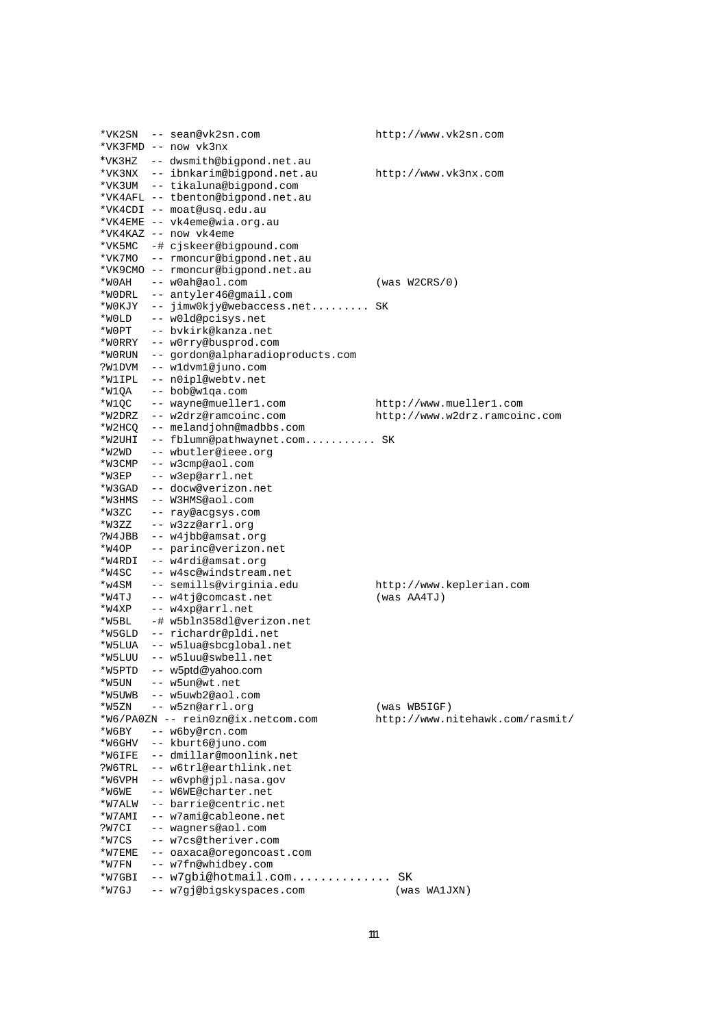|        | *VK2SN -- sean@vk2sn.com           | http://www.vk2sn.com            |
|--------|------------------------------------|---------------------------------|
|        | *VK3FMD -- now vk3nx               |                                 |
|        | *VK3HZ -- dwsmith@bigpond.net.au   |                                 |
|        | *VK3NX -- ibnkarim@biqpond.net.au  |                                 |
|        |                                    | http://www.vk3nx.com            |
|        | *VK3UM -- tikaluna@bigpond.com     |                                 |
|        | *VK4AFL -- tbenton@bigpond.net.au  |                                 |
|        | *VK4CDI -- moat@usq.edu.au         |                                 |
|        | *VK4EME -- vk4eme@wia.org.au       |                                 |
|        | *VK4KAZ -- now vk4eme              |                                 |
|        | *VK5MC -# cjskeer@bigpound.com     |                                 |
|        | *VK7MO -- rmoncur@bigpond.net.au   |                                 |
|        | *VK9CMO -- rmoncur@biqpond.net.au  |                                 |
|        | *WOAH -- wOah@aol.com              | (was W2CRS/0)                   |
|        | *WODRL -- antyler46@gmail.com      |                                 |
| *WOKJY | -- jimw0kjy@webaccess.net SK       |                                 |
|        |                                    |                                 |
| *WOLD  | -- w0ld@pcisys.net                 |                                 |
| *WOPT  | -- bvkirk@kanza.net                |                                 |
|        | *WORRY -- wOrry@busprod.com        |                                 |
| *WORUN | -- gordon@alpharadioproducts.com   |                                 |
| ?W1DVM | -- wldvml@juno.com                 |                                 |
| *W1IPL | -- n0ipl@webtv.net                 |                                 |
| *W1OA  | -- bob@wlqa.com                    |                                 |
| *W1QC  | -- wayne@mueller1.com              | http://www.mueller1.com         |
| *W2DRZ | -- w2drz@ramcoinc.com              | http://www.w2drz.ramcoinc.com   |
| *W2HCQ | -- melandjohn@madbbs.com           |                                 |
| *W2UHI | -- fblumn@pathwaynet.com SK        |                                 |
| *W2WD  | -- wbutler@ieee.org                |                                 |
|        |                                    |                                 |
| *W3CMP | -- w3cmp@aol.com                   |                                 |
| *W3EP  | -- w3ep@arrl.net                   |                                 |
| *W3GAD | -- docw@verizon.net                |                                 |
| *W3HMS | -- W3HMS@aol.com                   |                                 |
| *W3ZC  | -- ray@acgsys.com                  |                                 |
| *W3ZZ  | -- w3zz@arrl.org                   |                                 |
| ?W4JBB | -- w4jbb@amsat.org                 |                                 |
| *W4OP  | -- parinc@verizon.net              |                                 |
| *W4RDI | -- w4rdi@amsat.org                 |                                 |
| *W4SC  | -- w4sc@windstream.net             |                                 |
| *w4SM  | -- semills@virginia.edu            | http://www.keplerian.com        |
| *W4TJ  | -- w4tj@comcast.net                | $(was$ AA4TJ)                   |
| *W4XP  | -- w4xp@arrl.net                   |                                 |
| *W5BL  | -# w5bln358dl@verizon.net          |                                 |
| *W5GLD | -- richardr@pldi.net               |                                 |
| *W5LUA | -- w5lua@sbcqlobal.net             |                                 |
| *W5LUU | -- w5luu@swbell.net                |                                 |
| *W5PTD | -- w5ptd@yahoo.com                 |                                 |
| *W5UN  | -- w5un@wt.net                     |                                 |
|        | -- w5uwb2@aol.com                  |                                 |
| *W5UWB |                                    |                                 |
| *W5ZN  | -- w5zn@arrl.org                   | (was WBSIGF)                    |
|        | *W6/PA0ZN -- rein0zn@ix.netcom.com | http://www.nitehawk.com/rasmit/ |
| *W6BY  | -- w6by@rcn.com                    |                                 |
| *W6GHV | -- kburt6@juno.com                 |                                 |
| *W6IFE | -- dmillar@moonlink.net            |                                 |
| ?W6TRL | -- w6trl@earthlink.net             |                                 |
| *W6VPH | -- w6vph@jpl.nasa.gov              |                                 |
| *W6WE  | -- W6WE@charter.net                |                                 |
| *W7ALW | -- barrie@centric.net              |                                 |
| *W7AMI | -- w7ami@cableone.net              |                                 |
| ?W7CI  | -- wagners@aol.com                 |                                 |
| *W7CS  | -- w7cs@theriver.com               |                                 |
| *W7EME | -- oaxaca@oregoncoast.com          |                                 |
| *W7FN  | -- w7fn@whidbey.com                |                                 |
|        |                                    |                                 |
| *W7GBI | -- w7gbi@hotmail.com               | SΚ                              |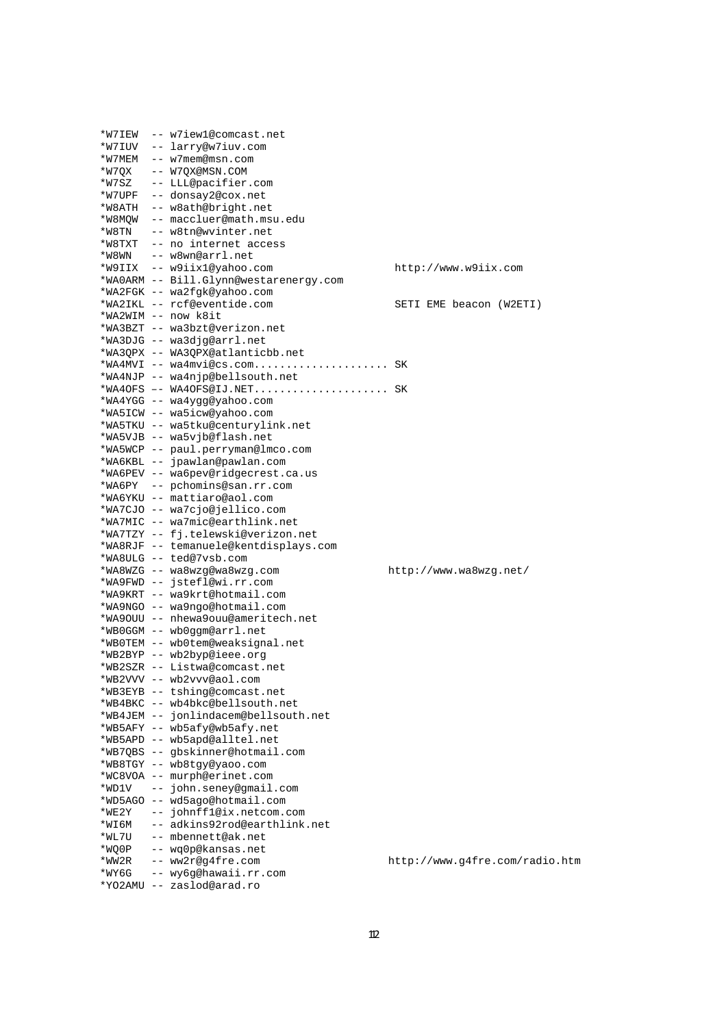|       | *W7IEW -- w7iew1@comcast.net                                 |                                |
|-------|--------------------------------------------------------------|--------------------------------|
|       | *W7IUV -- larry@w7iuv.com                                    |                                |
|       | *W7MEM -- w7mem@msn.com                                      |                                |
|       | *W7QX -- W7QX@MSN.COM                                        |                                |
|       | *W7SZ -- LLL@pacifier.com                                    |                                |
|       | *W7UPF -- donsay2@cox.net                                    |                                |
|       | *W8ATH -- w8ath@bright.net                                   |                                |
|       | *W8MQW -- maccluer@math.msu.edu                              |                                |
|       | *W8TN -- w8tn@wvinter.net                                    |                                |
|       | *W8TXT -- no internet access                                 |                                |
|       | *W8WN -- w8wn@arrl.net                                       |                                |
|       | *W9IIX -- w9iix1@yahoo.com                                   | http://www.w9iix.com           |
|       | *WA0ARM -- Bill.Glynn@westarenergy.com                       |                                |
|       | *WA2FGK -- wa2fgk@yahoo.com                                  |                                |
|       | *WA2IKL -- rcf@eventide.com                                  | SETI EME beacon (W2ETI)        |
|       | *WA2WIM -- now k8it                                          |                                |
|       | *WA3BZT -- wa3bzt@verizon.net                                |                                |
|       | *WA3DJG -- wa3djq@arrl.net                                   |                                |
|       | *WA3QPX -- WA3QPX@atlanticbb.net                             |                                |
|       | *WA4MVI -- wa4mvi@cs.com SK                                  |                                |
|       | *WA4NJP -- wa4njp@bellsouth.net                              |                                |
|       | *WA4OFS -- WA4OFS@IJ.NET SK                                  |                                |
|       | *WA4YGG -- wa4ygg@yahoo.com                                  |                                |
|       | *WA5ICW -- wa5icw@yahoo.com                                  |                                |
|       | *WA5TKU -- wa5tku@centurylink.net                            |                                |
|       | *WA5VJB -- wa5vjb@flash.net                                  |                                |
|       | *WA5WCP -- paul.perryman@lmco.com                            |                                |
|       | *WA6KBL -- jpawlan@pawlan.com                                |                                |
|       | *WA6PEV -- wa6pev@ridgecrest.ca.us                           |                                |
|       | *WA6PY -- pchomins@san.rr.com                                |                                |
|       | *WA6YKU -- mattiaro@aol.com                                  |                                |
|       | *WA7CJO -- wa7cjo@jellico.com                                |                                |
|       | *WA7MIC -- wa7mic@earthlink.net                              |                                |
|       | *WA7TZY -- fj.telewski@verizon.net                           |                                |
|       | *WA8RJF -- temanuele@kentdisplays.com                        |                                |
|       | *WA8ULG -- ted@7vsb.com                                      |                                |
|       | *WA8WZG -- wa8wzg@wa8wzg.com                                 | http://www.wa8wzg.net/         |
|       | *WA9FWD -- jstefl@wi.rr.com                                  |                                |
|       | *WA9KRT -- wa9krt@hotmail.com                                |                                |
|       | *WA9NGO -- wa9ngo@hotmail.com                                |                                |
|       | *WA9OUU -- nhewa9ouu@ameritech.net                           |                                |
|       | *WBOGGM -- wbOggm@arrl.net                                   |                                |
|       | *WBOTEM -- wb0tem@weaksignal.net                             |                                |
|       | *WB2BYP -- wb2byp@ieee.org                                   |                                |
|       | *WB2SZR -- Listwa@comcast.net                                |                                |
|       | *WB2VVV -- wb2vvv@aol.com                                    |                                |
|       | *WB3EYB -- tshing@comcast.net                                |                                |
|       | *WB4BKC -- wb4bkc@bellsouth.net                              |                                |
|       |                                                              |                                |
|       |                                                              |                                |
|       | *WB4JEM -- jonlindacem@bellsouth.net                         |                                |
|       | *WB5AFY -- wb5afy@wb5afy.net<br>*WB5APD -- wb5apd@alltel.net |                                |
|       |                                                              |                                |
|       | *WB7QBS -- gbskinner@hotmail.com                             |                                |
|       | *WB8TGY -- wb8tgy@yaoo.com<br>*WC8VOA -- murph@erinet.com    |                                |
| *WD1V | -- john.seney@gmail.com                                      |                                |
|       | *WD5AGO -- wd5ago@hotmail.com                                |                                |
| *WE2Y | -- johnffl@ix.netcom.com                                     |                                |
| *WI6M | -- adkins92rod@earthlink.net                                 |                                |
| *WL7U | -- mbennett@ak.net                                           |                                |
| *WQ0P | -- wq0p@kansas.net                                           |                                |
| *WW2R | -- ww2r@g4fre.com                                            | http://www.g4fre.com/radio.htm |
| *WY6G | -- wy6g@hawaii.rr.com                                        |                                |
|       | *YO2AMU -- zaslod@arad.ro                                    |                                |